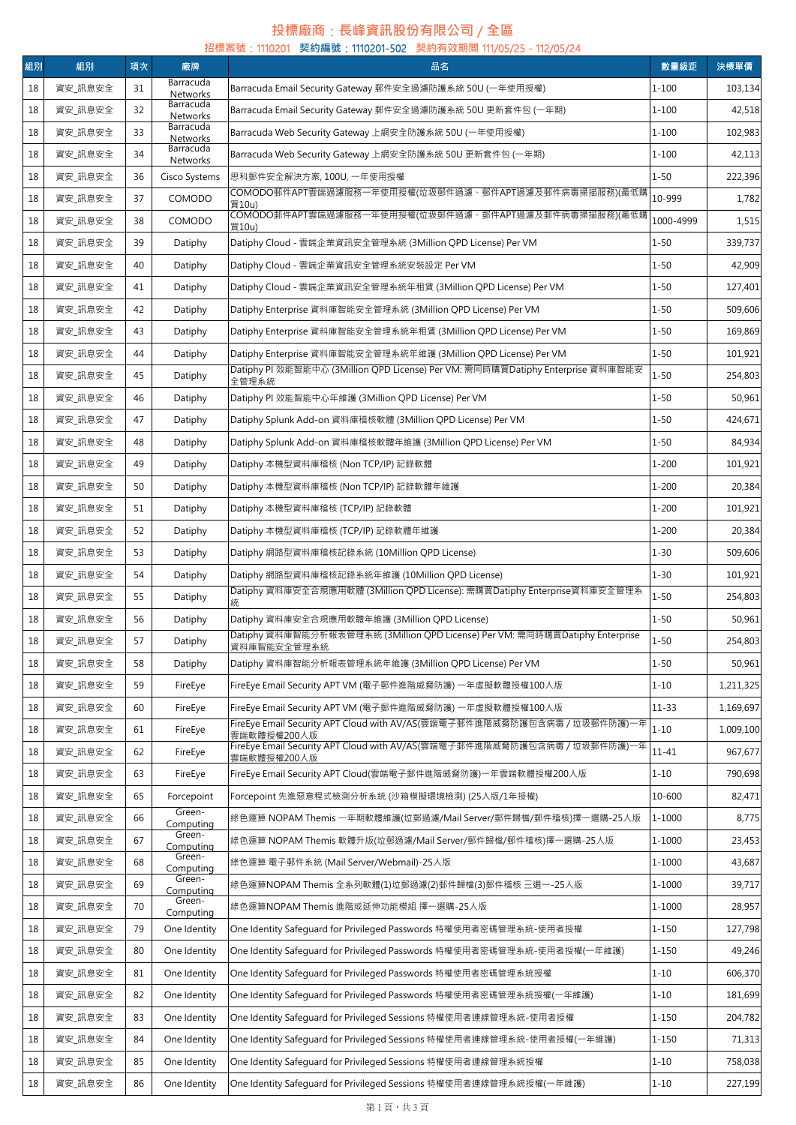## **投標廠商**:**長峰資訊股份有限公司** / **全區**

|    |         |    |                              | 招標案號:1110201 契約編號:1110201-502 契約有效期間 111/05/25 - 112/05/24                                                                    |           |           |
|----|---------|----|------------------------------|-------------------------------------------------------------------------------------------------------------------------------|-----------|-----------|
| 組別 | 組別      | 項次 | 廠牌<br>Barracuda              | 品名                                                                                                                            | 數量級距      | 決標單價      |
| 18 | 資安_訊息安全 | 31 | <b>Networks</b><br>Barracuda | Barracuda Email Security Gateway 郵件安全過濾防護系統 50U (一年使用授權)                                                                      | $1 - 100$ | 103,134   |
| 18 | 資安 訊息安全 | 32 | Networks<br>Barracuda        | Barracuda Email Security Gateway 郵件安全過濾防護系統 50U 更新套件包 (一年期)                                                                   | $1 - 100$ | 42,518    |
| 18 | 資安 訊息安全 | 33 | Networks                     | Barracuda Web Security Gateway 上網安全防護系統 50U (一年使用授權)                                                                          | $1 - 100$ | 102,983   |
| 18 | 資安_訊息安全 | 34 | Barracuda<br>Networks        | Barracuda Web Security Gateway 上網安全防護系統 50U 更新套件包 (一年期)                                                                       | $1 - 100$ | 42,113    |
| 18 | 資安_訊息安全 | 36 | Cisco Systems                | 思科郵件安全解決方案, 100U, 一年使用授權                                                                                                      | $1 - 50$  | 222,396   |
| 18 | 資安_訊息安全 | 37 | COMODO                       | COMODO郵件APT雲端過濾服務一年使用授權(垃圾郵件過濾、郵件APT過濾及郵件病毒掃描服務)(最低購<br>買10u)                                                                 | 10-999    | 1,782     |
| 18 | 資安_訊息安全 | 38 | COMODO                       | COMODO郵件APT雲端過濾服務一年使用授權(垃圾郵件過濾、郵件APT過濾及郵件病毒掃描服務)(最低購<br>買10u)                                                                 | 1000-4999 | 1,515     |
| 18 | 資安_訊息安全 | 39 | Datiphy                      | Datiphy Cloud - 雲端企業資訊安全管理系統 (3Million QPD License) Per VM                                                                    | $1 - 50$  | 339,737   |
| 18 | 資安_訊息安全 | 40 | Datiphy                      | Datiphy Cloud - 雲端企業資訊安全管理系統安裝設定 Per VM                                                                                       | $1 - 50$  | 42,909    |
| 18 | 資安_訊息安全 | 41 | Datiphy                      | Datiphy Cloud - 雲端企業資訊安全管理系統年租賃 (3Million QPD License) Per VM                                                                 | $1 - 50$  | 127,401   |
| 18 | 資安 訊息安全 | 42 | Datiphy                      | Datiphy Enterprise 資料庫智能安全管理系統 (3Million QPD License) Per VM                                                                  | $1 - 50$  | 509,606   |
| 18 | 資安 訊息安全 | 43 | Datiphy                      | Datiphy Enterprise 資料庫智能安全管理系統年租賃 (3Million OPD License) Per VM                                                               | $1 - 50$  | 169,869   |
| 18 | 資安_訊息安全 | 44 | Datiphy                      | Datiphy Enterprise 資料庫智能安全管理系統年維護 (3Million QPD License) Per VM                                                               | $1 - 50$  | 101,921   |
| 18 | 資安_訊息安全 | 45 | Datiphy                      | Datiphy PI 效能智能中心 (3Million QPD License) Per VM: 需同時購買Datiphy Enterprise 資料庫智能安<br>全管理系統                                      | $1 - 50$  | 254,803   |
| 18 | 資安_訊息安全 | 46 | Datiphy                      | Datiphy PI 效能智能中心年維護 (3Million QPD License) Per VM                                                                            | $1 - 50$  | 50,961    |
| 18 | 資安_訊息安全 | 47 | Datiphy                      | Datiphy Splunk Add-on 資料庫稽核軟體 (3Million QPD License) Per VM                                                                   | $1 - 50$  | 424,671   |
| 18 | 資安_訊息安全 | 48 | Datiphy                      | Datiphy Splunk Add-on 資料庫稽核軟體年維護 (3Million QPD License) Per VM                                                                | $1 - 50$  | 84,934    |
| 18 | 資安_訊息安全 | 49 | Datiphy                      | Datiphy 本機型資料庫稽核 (Non TCP/IP) 記錄軟體                                                                                            | $1 - 200$ | 101,921   |
| 18 | 資安_訊息安全 | 50 | Datiphy                      | Datiphy 本機型資料庫稽核 (Non TCP/IP) 記錄軟體年維護                                                                                         | $1 - 200$ | 20,384    |
| 18 | 資安_訊息安全 | 51 | Datiphy                      | Datiphy 本機型資料庫稽核 (TCP/IP) 記錄軟體                                                                                                | $1 - 200$ | 101,921   |
| 18 | 資安_訊息安全 | 52 |                              | Datiphy 本機型資料庫稽核 (TCP/IP) 記錄軟體年維護                                                                                             | $1 - 200$ | 20,384    |
|    |         |    | Datiphy                      |                                                                                                                               |           |           |
| 18 | 資安_訊息安全 | 53 | Datiphy                      | Datiphy 網路型資料庫稽核記錄系統 (10Million QPD License)                                                                                  | $1 - 30$  | 509,606   |
| 18 | 資安_訊息安全 | 54 | Datiphy                      | Datiphy 網路型資料庫稽核記錄系統年維護 (10Million OPD License)<br>Datiphy 資料庫安全合規應用軟體 (3Million QPD License): 需購買Datiphy Enterprise資料庫安全管理系  | $1 - 30$  | 101,921   |
| 18 | 資安_訊息安全 | 55 | Datiphy                      | 統                                                                                                                             | $1 - 50$  | 254,803   |
| 18 | 資安_訊息安全 | 56 | Datiphy                      | Datiphy 資料庫安全合規應用軟體年維護 (3Million QPD License)<br>Datiphy 資料庫智能分析報表管理系統 (3Million QPD License) Per VM: 需同時購買Datiphy Enterprise | $1 - 50$  | 50,961    |
| 18 | 資安_訊息安全 | 57 | Datiphy                      | 資料庫智能安全管理系統                                                                                                                   | 1-50      | 254,803   |
| 18 | 資安_訊息安全 | 58 | Datiphy                      | Datiphy 資料庫智能分析報表管理系統年維護 (3Million QPD License) Per VM                                                                        | $1 - 50$  | 50,961    |
| 18 | 資安_訊息安全 | 59 | FireEye                      | FireEye Email Security APT VM (電子郵件進階威脅防護) 一年虛擬軟體授權100人版                                                                      | $1 - 10$  | 1,211,325 |
| 18 | 資安_訊息安全 | 60 | FireEye                      | FireEye Email Security APT VM (電子郵件進階威脅防護) 一年虛擬軟體授權100人版                                                                      | $11 - 33$ | 1,169,697 |
| 18 | 資安_訊息安全 | 61 | FireEye                      | FireEye Email Security APT Cloud with AV/AS(雲端電子郵件進階威脅防護包含病毒 / 垃圾郵件防護)一年<br>雲端軟體授權200人版                                       | $1 - 10$  | 1,009,100 |
| 18 | 資安_訊息安全 | 62 | FireEye                      | 雲端軟體授權200人版                                                                                                                   | $11 - 41$ | 967,677   |
| 18 | 資安_訊息安全 | 63 | FireEve                      | FireEye Email Security APT Cloud(雲端電子郵件進階威脅防護)一年雲端軟體授權200人版                                                                   | $1 - 10$  | 790,698   |
| 18 | 資安_訊息安全 | 65 | Forcepoint                   | Forcepoint 先進惡意程式檢測分析系統 (沙箱模擬環境檢測) (25人版/1年授權)                                                                                | 10-600    | 82,471    |
| 18 | 資安_訊息安全 | 66 | Green-<br>Computing          | 綠色運算 NOPAM Themis 一年期軟體維護(垃郵過濾/Mail Server/郵件歸檔/郵件稽核)擇一選購-25人版                                                                | 1-1000    | 8,775     |
| 18 | 資安_訊息安全 | 67 | Green-<br>Computing          | 綠色運算 NOPAM Themis 軟體升版(垃郵過濾/Mail Server/郵件歸檔/郵件稽核)擇一選購-25人版                                                                   | 1-1000    | 23,453    |
| 18 | 資安_訊息安全 | 68 | Green-<br>Computing          | 綠色運算 電子郵件系統 (Mail Server/Webmail)-25人版                                                                                        | 1-1000    | 43,687    |
| 18 | 資安_訊息安全 | 69 | Green-<br>Computing          | 綠色運算NOPAM Themis 全系列軟體(1)垃郵過濾(2)郵件歸檔(3)郵件稽核 三選—-25人版                                                                          | 1-1000    | 39,717    |
| 18 | 資安_訊息安全 | 70 | Green-<br>Computing          | 綠色運算NOPAM Themis 進階或延伸功能模組 擇一選購-25人版                                                                                          | 1-1000    | 28,957    |
| 18 | 資安_訊息安全 | 79 | One Identity                 | One Identity Safequard for Privileged Passwords 特權使用者密碼管理系統-使用者授權                                                             | $1 - 150$ | 127,798   |
| 18 | 資安_訊息安全 | 80 | One Identity                 | One Identity Safeguard for Privileged Passwords 特權使用者密碼管理系統-使用者授權(一年維護)                                                       | $1 - 150$ | 49,246    |
| 18 | 資安_訊息安全 | 81 | One Identity                 | One Identity Safeguard for Privileged Passwords 特權使用者密碼管理系統授權                                                                 | $1 - 10$  | 606,370   |
| 18 | 資安_訊息安全 | 82 | One Identity                 | One Identity Safeguard for Privileged Passwords 特權使用者密碼管理系統授權(一年維護)                                                           | $1 - 10$  | 181,699   |
| 18 | 資安_訊息安全 | 83 | One Identity                 | One Identity Safequard for Privileged Sessions 特權使用者連線管理系統-使用者授權                                                              | 1-150     | 204,782   |
| 18 | 資安_訊息安全 | 84 | One Identity                 | One Identity Safeguard for Privileged Sessions 特權使用者連線管理系統-使用者授權(一年維護)                                                        | $1 - 150$ | 71,313    |
| 18 | 資安_訊息安全 | 85 | One Identity                 | One Identity Safeguard for Privileged Sessions 特權使用者連線管理系統授權                                                                  | $1 - 10$  | 758,038   |
| 18 | 資安_訊息安全 | 86 | One Identity                 | One Identity Safeguard for Privileged Sessions 特權使用者連線管理系統授權(一年維護)                                                            | $1 - 10$  | 227,199   |
|    |         |    |                              |                                                                                                                               |           |           |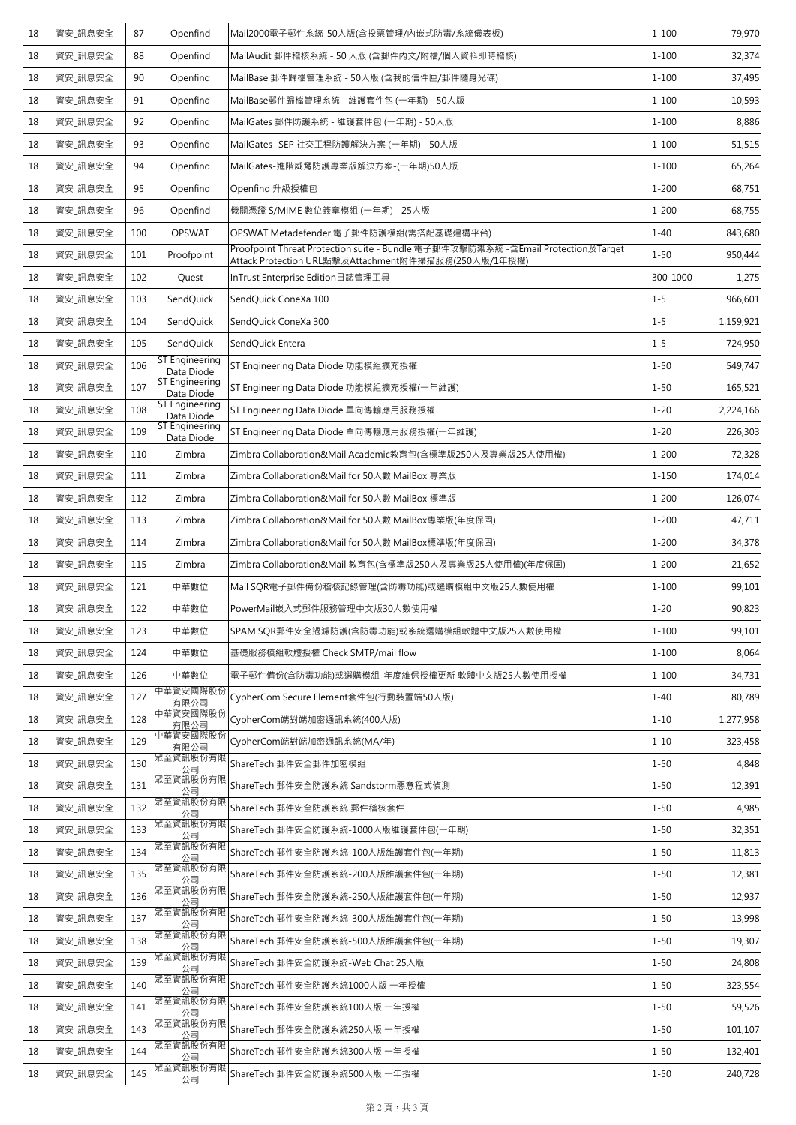| 18 | 資安_訊息安全 | 87  | Openfind                            | Mail2000電子郵件系統-50人版(含投票管理/内嵌式防毒/系統儀表板)                                                                                                   | $1 - 100$ | 79,970    |
|----|---------|-----|-------------------------------------|------------------------------------------------------------------------------------------------------------------------------------------|-----------|-----------|
| 18 | 資安_訊息安全 | 88  | Openfind                            | MailAudit 郵件稽核系統 - 50 人版 (含郵件內文/附檔/個人資料即時稽核)                                                                                             | $1 - 100$ | 32,374    |
| 18 | 資安_訊息安全 | 90  | Openfind                            | MailBase 郵件歸檔管理系統 - 50人版 (含我的信件匣/郵件隨身光碟)                                                                                                 | $1 - 100$ | 37,495    |
| 18 | 資安 訊息安全 | 91  | Openfind                            | MailBase郵件歸檔管理系統 - 維護套件包 (一年期) - 50人版                                                                                                    | $1 - 100$ | 10,593    |
| 18 | 資安_訊息安全 | 92  | Openfind                            | MailGates 郵件防護系統 - 維護套件包 (一年期) - 50人版                                                                                                    | $1 - 100$ | 8,886     |
| 18 | 資安_訊息安全 | 93  | Openfind                            | MailGates- SEP 社交工程防護解決方案 (一年期) - 50人版                                                                                                   | $1 - 100$ | 51,515    |
| 18 | 資安 訊息安全 | 94  | Openfind                            | MailGates-進階威脅防護專業版解決方案-(一年期)50人版                                                                                                        | $1 - 100$ | 65,264    |
| 18 | 資安_訊息安全 | 95  | Openfind                            | Openfind 升級授權包                                                                                                                           | $1 - 200$ | 68,751    |
| 18 | 資安_訊息安全 | 96  | Openfind                            | 機關憑證 S/MIME 數位簽章模組 (一年期) - 25人版                                                                                                          | $1 - 200$ | 68,755    |
| 18 | 資安_訊息安全 | 100 | <b>OPSWAT</b>                       | OPSWAT Metadefender 電子郵件防護模組(需搭配基礎建構平台)                                                                                                  | $1 - 40$  | 843,680   |
| 18 | 資安_訊息安全 | 101 | Proofpoint                          | Proofpoint Threat Protection suite - Bundle 電子郵件攻擊防禦系統 -含Email Protection及Target<br>Attack Protection URL點擊及Attachment附件掃描服務(250人版/1年授權) | $1 - 50$  | 950,444   |
| 18 | 資安_訊息安全 | 102 | Quest                               | InTrust Enterprise Edition日誌管理工具                                                                                                         | 300-1000  | 1,275     |
| 18 | 資安_訊息安全 | 103 | SendQuick                           | SendQuick ConeXa 100                                                                                                                     | $1 - 5$   | 966,601   |
| 18 | 資安_訊息安全 | 104 | SendQuick                           | SendQuick ConeXa 300                                                                                                                     | $1 - 5$   | 1,159,921 |
| 18 | 資安 訊息安全 | 105 | SendQuick                           | SendQuick Entera                                                                                                                         | $1 - 5$   | 724,950   |
| 18 | 資安_訊息安全 | 106 | ST Engineering<br>Data Diode        | ST Engineering Data Diode 功能模組擴充授權                                                                                                       | $1 - 50$  | 549,747   |
| 18 | 資安 訊息安全 | 107 | <b>ST Engineering</b><br>Data Diode | ST Engineering Data Diode 功能模組擴充授權(一年維護)                                                                                                 | $1 - 50$  | 165,521   |
| 18 | 資安_訊息安全 | 108 | ST Engineering<br>Data Diode        | ST Engineering Data Diode 單向傳輸應用服務授權                                                                                                     | $1 - 20$  | 2,224,166 |
| 18 | 資安_訊息安全 | 109 | ST Engineering<br>Data Diode        | ST Engineering Data Diode 單向傳輸應用服務授權(一年維護)                                                                                               | $1 - 20$  | 226,303   |
| 18 | 資安_訊息安全 | 110 | Zimbra                              | Zimbra Collaboration&Mail Academic教育包(含標準版250人及專業版25人使用權)                                                                                | $1 - 200$ | 72,328    |
| 18 | 資安_訊息安全 | 111 | Zimbra                              | Zimbra Collaboration&Mail for 50人數 MailBox 專業版                                                                                           | $1 - 150$ | 174,014   |
| 18 | 資安_訊息安全 | 112 | Zimbra                              | Zimbra Collaboration&Mail for 50人數 MailBox 標準版                                                                                           | $1 - 200$ | 126,074   |
| 18 | 資安_訊息安全 | 113 | Zimbra                              | Zimbra Collaboration&Mail for 50人數 MailBox專業版(年度保固)                                                                                      | $1 - 200$ | 47,711    |
| 18 | 資安_訊息安全 | 114 | Zimbra                              | Zimbra Collaboration&Mail for 50人數 MailBox標準版(年度保固)                                                                                      | $1 - 200$ | 34,378    |
| 18 | 資安 訊息安全 | 115 | Zimbra                              | Zimbra Collaboration&Mail 教育包(含標準版250人及專業版25人使用權)(年度保固)                                                                                  | $1 - 200$ | 21,652    |
| 18 | 資安_訊息安全 | 121 | 中華數位                                | Mail SQR電子郵件備份稽核記錄管理(含防毒功能)或選購模組中文版25人數使用權                                                                                               | $1 - 100$ | 99,101    |
| 18 | 資安_訊息安全 | 122 | 中華數位                                | PowerMail嵌入式郵件服務管理中文版30人數使用權                                                                                                             | $1 - 20$  | 90,823    |
| 18 | 資安_訊息安全 | 123 | 中華數位                                | SPAM SQR郵件安全過濾防護(含防毒功能)或系統選購模組軟體中文版25人數使用權                                                                                               | $1 - 100$ | 99,101    |
| 18 | 資安_訊息安全 | 124 | 中華數位                                | 基礎服務模組軟體授權 Check SMTP/mail flow                                                                                                          | $1 - 100$ | 8,064     |
| 18 | 資安_訊息安全 | 126 | 中華數位                                | 電子郵件備份(含防毒功能)或選購模組-年度維保授權更新 軟體中文版25人數使用授權                                                                                                | $1 - 100$ | 34,731    |
| 18 | 資安_訊息安全 | 127 | 中華資安國際股份<br>有限公司                    | CypherCom Secure Element套件包(行動裝置端50人版)                                                                                                   | $1 - 40$  | 80,789    |
| 18 | 資安_訊息安全 | 128 | 中華資安國際股份<br>有限公司                    | CypherCom端對端加密通訊系統(400人版)                                                                                                                | $1 - 10$  | 1,277,958 |
| 18 | 資安_訊息安全 | 129 | 中華資安國際股份<br>有限公司                    | CypherCom端對端加密通訊系統(MA/年)                                                                                                                 | $1 - 10$  | 323,458   |
| 18 | 資安_訊息安全 | 130 | 眾至資訊股份有附<br>公司                      | ShareTech 郵件安全郵件加密模組                                                                                                                     | $1 - 50$  | 4,848     |
| 18 | 資安_訊息安全 | 131 | 眾至資訊股份有限<br>公司                      | ShareTech 郵件安全防護系統 Sandstorm惡意程式偵測                                                                                                       | $1 - 50$  | 12,391    |
| 18 | 資安_訊息安全 | 132 | 眾至資訊股份有限<br>公司                      | ShareTech 郵件安全防護系統 郵件稽核套件                                                                                                                | $1 - 50$  | 4,985     |
| 18 | 資安_訊息安全 | 133 | 眾至資訊股份有限<br>公司                      | ShareTech 郵件安全防護系統-1000人版維護套件包(一年期)                                                                                                      | $1 - 50$  | 32,351    |
| 18 | 資安_訊息安全 | 134 | 眾至資訊股份有限<br>公司                      | ShareTech 郵件安全防護系統-100人版維護套件包(一年期)                                                                                                       | $1 - 50$  | 11,813    |
| 18 | 資安_訊息安全 | 135 | 眾至資訊股份有限<br>公司                      | ShareTech 郵件安全防護系統-200人版維護套件包(一年期)                                                                                                       | $1 - 50$  | 12,381    |
| 18 | 資安_訊息安全 | 136 | 眾至資訊股份有限<br>公司                      | ShareTech 郵件安全防護系統-250人版維護套件包(一年期)                                                                                                       | $1 - 50$  | 12,937    |
| 18 | 資安_訊息安全 | 137 | 眾至資訊股份有限<br>公司                      | ShareTech 郵件安全防護系統-300人版維護套件包(一年期)                                                                                                       | $1 - 50$  | 13,998    |
| 18 | 資安_訊息安全 | 138 | 眾至資訊股份有限<br>公司                      | ShareTech 郵件安全防護系統-500人版維護套件包(一年期)                                                                                                       | $1 - 50$  | 19,307    |
| 18 | 資安_訊息安全 | 139 | 眾至資訊股份有限<br>公司                      | ShareTech 郵件安全防護系統-Web Chat 25人版                                                                                                         | $1 - 50$  | 24,808    |
| 18 | 資安_訊息安全 | 140 | 眾至資訊股份有限<br>公司                      | ShareTech 郵件安全防護系統1000人版一年授權                                                                                                             | $1 - 50$  | 323,554   |
| 18 | 資安_訊息安全 | 141 | 眾至資訊股份有限<br>公司                      | ShareTech 郵件安全防護系統100人版 一年授權                                                                                                             | $1 - 50$  | 59,526    |
| 18 | 資安_訊息安全 | 143 | 眾至資訊股份有限<br>公司                      | ShareTech 郵件安全防護系統250人版 一年授權                                                                                                             | $1 - 50$  | 101,107   |
| 18 | 資安_訊息安全 | 144 | 眾至資訊股份有限<br>公司                      | ShareTech 郵件安全防護系統300人版 一年授權                                                                                                             | $1 - 50$  | 132,401   |
| 18 | 資安_訊息安全 | 145 | 眾至資訊股份有限<br>公司                      | ShareTech 郵件安全防護系統500人版 一年授權                                                                                                             | $1 - 50$  | 240,728   |